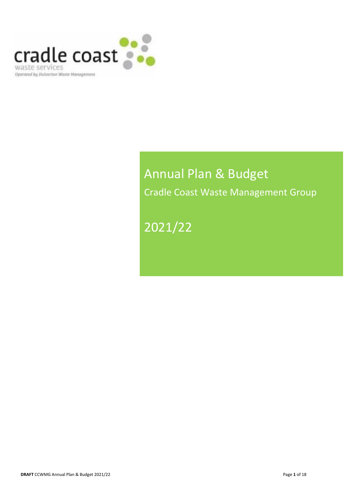

# Annual Plan & Budget Cradle Coast Waste Management Group

# 2021/22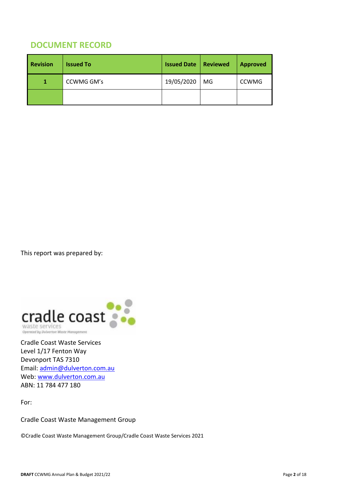# **DOCUMENT RECORD**

| <b>Revision</b> | <b>Issued To</b> | <b>Issued Date</b> | Reviewed | <b>Approved</b> |  |  |
|-----------------|------------------|--------------------|----------|-----------------|--|--|
| 1               | CCWMG GM's       | 19/05/2020         | MG       | <b>CCWMG</b>    |  |  |
|                 |                  |                    |          |                 |  |  |

This report was prepared by:



Cradle Coast Waste Services Level 1/17 Fenton Way Devonport TAS 7310 Email: admin@dulverton.com.au Web: www.dulverton.com.au ABN: 11 784 477 180

For:

Cradle Coast Waste Management Group

©Cradle Coast Waste Management Group/Cradle Coast Waste Services 2021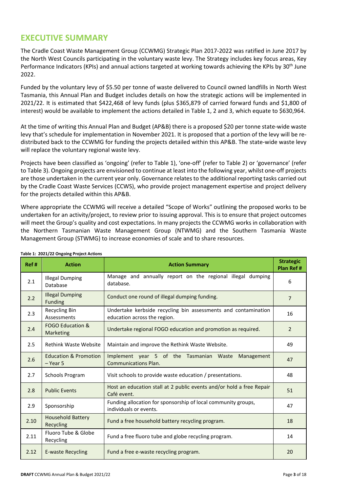## **EXECUTIVE SUMMARY**

The Cradle Coast Waste Management Group (CCWMG) Strategic Plan 2017-2022 was ratified in June 2017 by the North West Councils participating in the voluntary waste levy. The Strategy includes key focus areas, Key Performance Indicators (KPIs) and annual actions targeted at working towards achieving the KPIs by 30<sup>th</sup> June 2022.

Funded by the voluntary levy of \$5.50 per tonne of waste delivered to Council owned landfills in North West Tasmania, this Annual Plan and Budget includes details on how the strategic actions will be implemented in 2021/22. It is estimated that \$422,468 of levy funds (plus \$365,879 of carried forward funds and \$1,800 of interest) would be available to implement the actions detailed in Table 1, 2 and 3, which equate to \$630,964.

At the time of writing this Annual Plan and Budget (AP&B) there is a proposed \$20 per tonne state-wide waste levy that's schedule for implementation in November 2021. It is proposed that a portion of the levy will be redistributed back to the CCWMG for funding the projects detailed within this AP&B. The state-wide waste levy will replace the voluntary regional waste levy.

Projects have been classified as 'ongoing' (refer to Table 1), 'one-off' (refer to Table 2) or 'governance' (refer to Table 3). Ongoing projects are envisioned to continue at least into the following year, whilst one-off projects are those undertaken in the current year only. Governance relates to the additional reporting tasks carried out by the Cradle Coast Waste Services (CCWS), who provide project management expertise and project delivery for the projects detailed within this AP&B.

Where appropriate the CCWMG will receive a detailed "Scope of Works" outlining the proposed works to be undertaken for an activity/project, to review prior to issuing approval. This is to ensure that project outcomes will meet the Group's quality and cost expectations. In many projects the CCWMG works in collaboration with the Northern Tasmanian Waste Management Group (NTWMG) and the Southern Tasmania Waste Management Group (STWMG) to increase economies of scale and to share resources.

| Ref# | <b>Action</b>                                | <b>Action Summary</b>                                                                          | <b>Strategic</b><br>Plan Ref # |
|------|----------------------------------------------|------------------------------------------------------------------------------------------------|--------------------------------|
| 2.1  | <b>Illegal Dumping</b><br>Database           | Manage and annually report on the regional illegal dumping<br>database.                        | 6                              |
| 2.2  | <b>Illegal Dumping</b><br><b>Funding</b>     | Conduct one round of illegal dumping funding.                                                  | $\overline{7}$                 |
| 2.3  | Recycling Bin<br>Assessments                 | Undertake kerbside recycling bin assessments and contamination<br>education across the region. | 16                             |
| 2.4  | <b>FOGO Education &amp;</b><br>Marketing     | Undertake regional FOGO education and promotion as required.                                   | 2                              |
| 2.5  | <b>Rethink Waste Website</b>                 | Maintain and improve the Rethink Waste Website.                                                | 49                             |
| 2.6  | <b>Education &amp; Promotion</b><br>- Year 5 | Implement year 5 of the Tasmanian Waste<br>Management<br><b>Communications Plan.</b>           | 47                             |
| 2.7  | <b>Schools Program</b>                       | Visit schools to provide waste education / presentations.                                      | 48                             |
| 2.8  | <b>Public Events</b>                         | Host an education stall at 2 public events and/or hold a free Repair<br>Café event.            | 51                             |
| 2.9  | Sponsorship                                  | Funding allocation for sponsorship of local community groups,<br>individuals or events.        | 47                             |
| 2.10 | <b>Household Battery</b><br>Recycling        | Fund a free household battery recycling program.                                               | 18                             |
| 2.11 | Fluoro Tube & Globe<br>Recycling             | Fund a free fluoro tube and globe recycling program.                                           | 14                             |
| 2.12 | <b>E-waste Recycling</b>                     | Fund a free e-waste recycling program.                                                         | 20                             |

#### **Table 1: 2021/22 Ongoing Project Actions**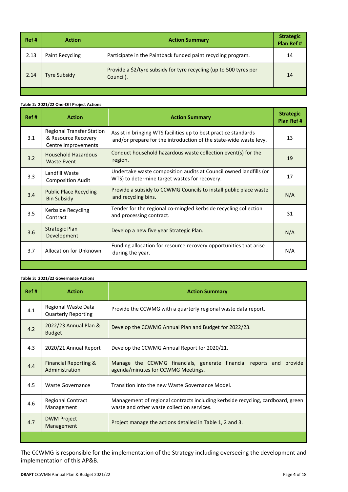| Ref# | <b>Action</b>       | <b>Action Summary</b>                                                           | <b>Strategic</b><br><b>Plan Ref#</b> |  |
|------|---------------------|---------------------------------------------------------------------------------|--------------------------------------|--|
| 2.13 | Paint Recycling     | Participate in the Paintback funded paint recycling program.                    | 14                                   |  |
| 2.14 | <b>Tyre Subsidy</b> | Provide a \$2/tyre subsidy for tyre recycling (up to 500 tyres per<br>Council). | 14                                   |  |

#### **Table 2: 2021/22 One-Off Project Actions**

| Ref# | <b>Action</b>                                                                  | <b>Action Summary</b>                                                                                                                | <b>Strategic</b><br>Plan Ref # |
|------|--------------------------------------------------------------------------------|--------------------------------------------------------------------------------------------------------------------------------------|--------------------------------|
| 3.1  | <b>Regional Transfer Station</b><br>& Resource Recovery<br>Centre Improvements | Assist in bringing WTS facilities up to best practice standards<br>and/or prepare for the introduction of the state-wide waste levy. | 13                             |
| 3.2  | Household Hazardous<br><b>Waste Event</b>                                      | Conduct household hazardous waste collection event(s) for the<br>region.                                                             | 19                             |
| 3.3  | Landfill Waste<br><b>Composition Audit</b>                                     | Undertake waste composition audits at Council owned landfills (or<br>WTS) to determine target wastes for recovery.                   | 17                             |
| 3.4  | <b>Public Place Recycling</b><br><b>Bin Subsidy</b>                            | Provide a subsidy to CCWMG Councils to install public place waste<br>and recycling bins.                                             | N/A                            |
| 3.5  | Kerbside Recycling<br>Contract                                                 | Tender for the regional co-mingled kerbside recycling collection<br>and processing contract.                                         | 31                             |
| 3.6  | <b>Strategic Plan</b><br>Development                                           | Develop a new five year Strategic Plan.                                                                                              | N/A                            |
| 3.7  | <b>Allocation for Unknown</b>                                                  | Funding allocation for resource recovery opportunities that arise<br>during the year.                                                | N/A                            |
|      |                                                                                |                                                                                                                                      |                                |

#### **Table 3: 2021/22 Governance Actions**

| Ref# | <b>Action</b>                                                                                                                                                           | <b>Action Summary</b>                                                                                     |  |  |  |  |  |
|------|-------------------------------------------------------------------------------------------------------------------------------------------------------------------------|-----------------------------------------------------------------------------------------------------------|--|--|--|--|--|
| 4.1  | Regional Waste Data<br><b>Quarterly Reporting</b>                                                                                                                       | Provide the CCWMG with a quarterly regional waste data report.                                            |  |  |  |  |  |
| 4.2  | 2022/23 Annual Plan &<br><b>Budget</b>                                                                                                                                  | Develop the CCWMG Annual Plan and Budget for 2022/23.                                                     |  |  |  |  |  |
| 4.3  | 2020/21 Annual Report                                                                                                                                                   | Develop the CCWMG Annual Report for 2020/21.                                                              |  |  |  |  |  |
| 4.4  | <b>Financial Reporting &amp;</b><br>Administration                                                                                                                      | Manage the CCWMG financials, generate financial reports and provide<br>agenda/minutes for CCWMG Meetings. |  |  |  |  |  |
| 4.5  | <b>Waste Governance</b>                                                                                                                                                 | Transition into the new Waste Governance Model.                                                           |  |  |  |  |  |
| 4.6  | Management of regional contracts including kerbside recycling, cardboard, green<br><b>Regional Contract</b><br>waste and other waste collection services.<br>Management |                                                                                                           |  |  |  |  |  |
| 4.7  | <b>DWM Project</b><br>Management                                                                                                                                        | Project manage the actions detailed in Table 1, 2 and 3.                                                  |  |  |  |  |  |
|      |                                                                                                                                                                         |                                                                                                           |  |  |  |  |  |

The CCWMG is responsible for the implementation of the Strategy including overseeing the development and implementation of this AP&B.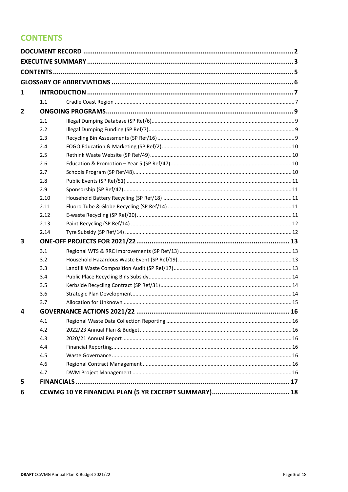# **CONTENTS**

| 1              |      |  |
|----------------|------|--|
|                | 1.1  |  |
| $\overline{2}$ |      |  |
|                | 2.1  |  |
|                | 2.2  |  |
|                | 2.3  |  |
|                | 2.4  |  |
|                | 2.5  |  |
|                | 2.6  |  |
|                | 2.7  |  |
|                | 2.8  |  |
|                | 2.9  |  |
|                | 2.10 |  |
|                | 2.11 |  |
|                | 2.12 |  |
|                | 2.13 |  |
|                | 2.14 |  |
| 3              |      |  |
|                | 3.1  |  |
|                | 3.2  |  |
|                | 3.3  |  |
|                | 3.4  |  |
|                | 3.5  |  |
|                | 3.6  |  |
|                | 3.7  |  |
| 4              |      |  |
|                | 4.1  |  |
|                | 4.2  |  |
|                | 4.3  |  |
|                | 4.4  |  |
|                | 4.5  |  |
|                | 4.6  |  |
|                | 4.7  |  |
| 5              |      |  |
| 6              |      |  |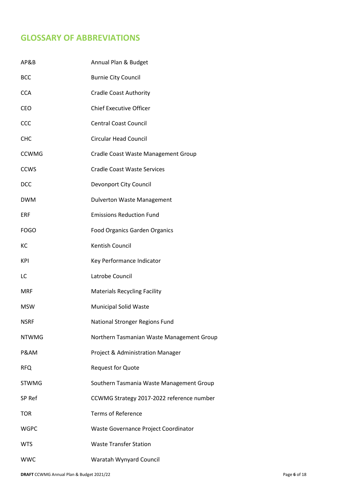# **GLOSSARY OF ABBREVIATIONS**

| AP&B         | Annual Plan & Budget                      |
|--------------|-------------------------------------------|
| <b>BCC</b>   | <b>Burnie City Council</b>                |
| <b>CCA</b>   | <b>Cradle Coast Authority</b>             |
| CEO          | <b>Chief Executive Officer</b>            |
| CCC          | <b>Central Coast Council</b>              |
| CHC          | <b>Circular Head Council</b>              |
| <b>CCWMG</b> | Cradle Coast Waste Management Group       |
| <b>CCWS</b>  | <b>Cradle Coast Waste Services</b>        |
| <b>DCC</b>   | Devonport City Council                    |
| <b>DWM</b>   | <b>Dulverton Waste Management</b>         |
| ERF          | <b>Emissions Reduction Fund</b>           |
| <b>FOGO</b>  | <b>Food Organics Garden Organics</b>      |
| КC           | <b>Kentish Council</b>                    |
| <b>KPI</b>   | Key Performance Indicator                 |
| LC           | Latrobe Council                           |
| <b>MRF</b>   | <b>Materials Recycling Facility</b>       |
| <b>MSW</b>   | <b>Municipal Solid Waste</b>              |
| <b>NSRF</b>  | National Stronger Regions Fund            |
| <b>NTWMG</b> | Northern Tasmanian Waste Management Group |
| P&AM         | Project & Administration Manager          |
| <b>RFQ</b>   | <b>Request for Quote</b>                  |
| <b>STWMG</b> | Southern Tasmania Waste Management Group  |
| SP Ref       | CCWMG Strategy 2017-2022 reference number |
| <b>TOR</b>   | <b>Terms of Reference</b>                 |
| <b>WGPC</b>  | Waste Governance Project Coordinator      |
| <b>WTS</b>   | <b>Waste Transfer Station</b>             |
| <b>WWC</b>   | Waratah Wynyard Council                   |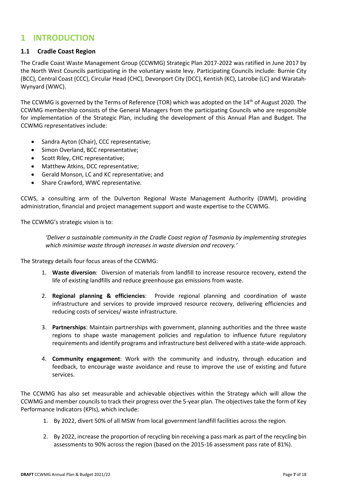### **1 INTRODUCTION**

#### **1.1 Cradle Coast Region**

The Cradle Coast Waste Management Group (CCWMG) Strategic Plan 2017-2022 was ratified in June 2017 by the North West Councils participating in the voluntary waste levy. Participating Councils include: Burnie City (BCC), Central Coast (CCC), Circular Head (CHC), Devonport City (DCC), Kentish (KC), Latrobe (LC) and Waratah-Wynyard (WWC).

The CCWMG is governed by the Terms of Reference (TOR) which was adopted on the 14th of August 2020. The CCWMG membership consists of the General Managers from the participating Councils who are responsible for implementation of the Strategic Plan, including the development of this Annual Plan and Budget. The CCWMG representatives include:

- Sandra Ayton (Chair), CCC representative;
- Simon Overland, BCC representative;
- Scott Riley, CHC representative;
- Matthew Atkins, DCC representative;
- Gerald Monson, LC and KC representative; and
- Share Crawford, WWC representative.

CCWS, a consulting arm of the Dulverton Regional Waste Management Authority (DWM), providing administration, financial and project management support and waste expertise to the CCWMG.

The CCWMG's strategic vision is to:

*'Deliver a sustainable community in the Cradle Coast region of Tasmania by implementing strategies which minimise waste through increases in waste diversion and recovery.'* 

The Strategy details four focus areas of the CCWMG:

- 1. **Waste diversion**: Diversion of materials from landfill to increase resource recovery, extend the life of existing landfills and reduce greenhouse gas emissions from waste.
- 2. **Regional planning & efficiencies**: Provide regional planning and coordination of waste infrastructure and services to provide improved resource recovery, delivering efficiencies and reducing costs of services/ waste infrastructure.
- 3. **Partnerships**: Maintain partnerships with government, planning authorities and the three waste regions to shape waste management policies and regulation to influence future regulatory requirements and identify programs and infrastructure best delivered with a state-wide approach.
- 4. **Community engagement**: Work with the community and industry, through education and feedback, to encourage waste avoidance and reuse to improve the use of existing and future services.

The CCWMG has also set measurable and achievable objectives within the Strategy which will allow the CCWMG and member councils to track their progress over the 5-year plan. The objectives take the form of Key Performance Indicators (KPIs), which include:

- 1. By 2022, divert 50% of all MSW from local government landfill facilities across the region.
- 2. By 2022, increase the proportion of recycling bin receiving a pass mark as part of the recycling bin assessments to 90% across the region (based on the 2015-16 assessment pass rate of 81%).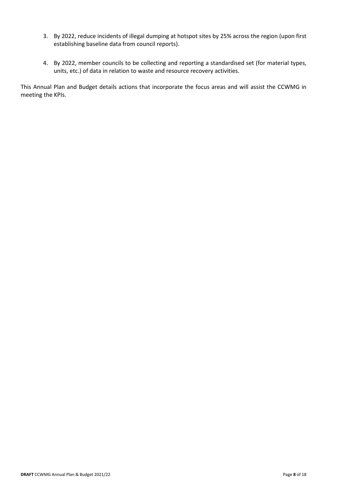- 3. By 2022, reduce incidents of illegal dumping at hotspot sites by 25% across the region (upon first establishing baseline data from council reports).
- 4. By 2022, member councils to be collecting and reporting a standardised set (for material types, units, etc.) of data in relation to waste and resource recovery activities.

This Annual Plan and Budget details actions that incorporate the focus areas and will assist the CCWMG in meeting the KPIs.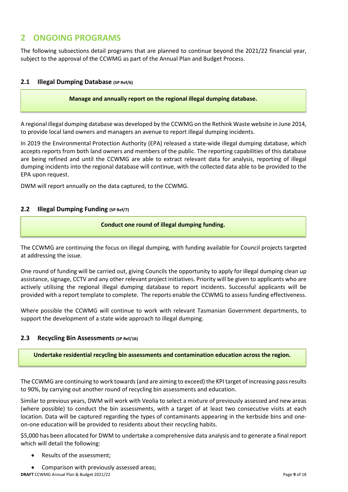## **2 ONGOING PROGRAMS**

The following subsections detail programs that are planned to continue beyond the 2021/22 financial year, subject to the approval of the CCWMG as part of the Annual Plan and Budget Process.

#### **2.1 Illegal Dumping Database (SP Ref/6)**

#### **Manage and annually report on the regional illegal dumping database.**

A regional illegal dumping database was developed by the CCWMG on the Rethink Waste website in June 2014, to provide local land owners and managers an avenue to report illegal dumping incidents.

In 2019 the Environmental Protection Authority (EPA) released a state-wide illegal dumping database, which accepts reports from both land owners and members of the public. The reporting capabilities of this database are being refined and until the CCWMG are able to extract relevant data for analysis, reporting of illegal dumping incidents into the regional database will continue, with the collected data able to be provided to the EPA upon request.

DWM will report annually on the data captured, to the CCWMG.

#### **2.2 Illegal Dumping Funding (SP Ref/7)**

#### **Conduct one round of illegal dumping funding.**

The CCWMG are continuing the focus on illegal dumping, with funding available for Council projects targeted at addressing the issue.

One round of funding will be carried out, giving Councils the opportunity to apply for illegal dumping clean up assistance, signage, CCTV and any other relevant project initiatives. Priority will be given to applicants who are actively utilising the regional illegal dumping database to report incidents. Successful applicants will be provided with a report template to complete. The reports enable the CCWMG to assess funding effectiveness.

Where possible the CCWMG will continue to work with relevant Tasmanian Government departments, to support the development of a state wide approach to illegal dumping.

#### **2.3 Recycling Bin Assessments (SP Ref/16)**

**Undertake residential recycling bin assessments and contamination education across the region.**

The CCWMG are continuing to work towards (and are aiming to exceed) the KPI target of increasing pass results to 90%, by carrying out another round of recycling bin assessments and education.

Similar to previous years, DWM will work with Veolia to select a mixture of previously assessed and new areas (where possible) to conduct the bin assessments, with a target of at least two consecutive visits at each location. Data will be captured regarding the types of contaminants appearing in the kerbside bins and oneon-one education will be provided to residents about their recycling habits.

\$5,000 has been allocated for DWM to undertake a comprehensive data analysis and to generate a final report which will detail the following:

- Results of the assessment;
- Comparison with previously assessed areas;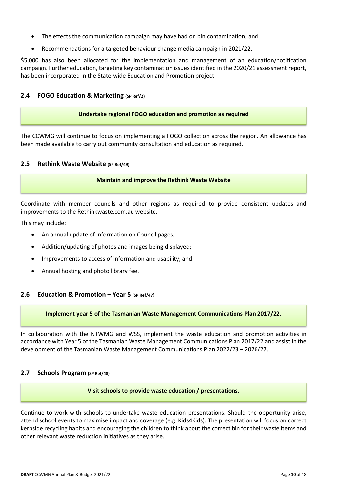- The effects the communication campaign may have had on bin contamination; and
- Recommendations for a targeted behaviour change media campaign in 2021/22.

\$5,000 has also been allocated for the implementation and management of an education/notification campaign. Further education, targeting key contamination issues identified in the 2020/21 assessment report, has been incorporated in the State-wide Education and Promotion project.

#### **2.4 FOGO Education & Marketing (SP Ref/2)**

#### **Undertake regional FOGO education and promotion as required**

The CCWMG will continue to focus on implementing a FOGO collection across the region. An allowance has been made available to carry out community consultation and education as required.

#### **2.5 Rethink Waste Website (SP Ref/49)**

#### **Maintain and improve the Rethink Waste Website**

Coordinate with member councils and other regions as required to provide consistent updates and improvements to the Rethinkwaste.com.au website.

This may include:

- An annual update of information on Council pages;
- Addition/updating of photos and images being displayed;
- Improvements to access of information and usability; and
- Annual hosting and photo library fee.

#### **2.6 Education & Promotion – Year 5 (SP Ref/47)**

#### **Implement year 5 of the Tasmanian Waste Management Communications Plan 2017/22.**

In collaboration with the NTWMG and WSS, implement the waste education and promotion activities in accordance with Year 5 of the Tasmanian Waste Management Communications Plan 2017/22 and assist in the development of the Tasmanian Waste Management Communications Plan 2022/23 – 2026/27.

#### **2.7 Schools Program (SP Ref/48)**

#### **Visit schools to provide waste education / presentations.**

Continue to work with schools to undertake waste education presentations. Should the opportunity arise, attend school events to maximise impact and coverage (e.g. Kids4Kids). The presentation will focus on correct kerbside recycling habits and encouraging the children to think about the correct bin for their waste items and other relevant waste reduction initiatives as they arise.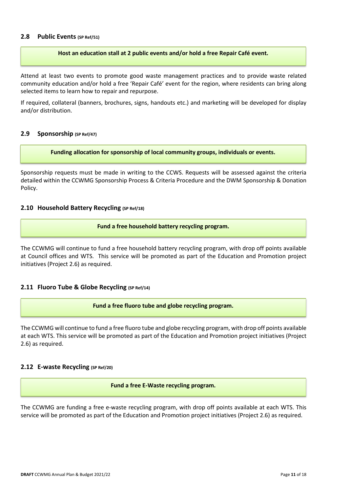#### **2.8 Public Events (SP Ref/51)**

#### **Host an education stall at 2 public events and/or hold a free Repair Café event.**

Attend at least two events to promote good waste management practices and to provide waste related community education and/or hold a free 'Repair Café' event for the region, where residents can bring along selected items to learn how to repair and repurpose.

If required, collateral (banners, brochures, signs, handouts etc.) and marketing will be developed for display and/or distribution.

#### **2.9 Sponsorship (SP Ref/47)**

**Funding allocation for sponsorship of local community groups, individuals or events.** 

Sponsorship requests must be made in writing to the CCWS. Requests will be assessed against the criteria detailed within the CCWMG Sponsorship Process & Criteria Procedure and the DWM Sponsorship & Donation Policy.

#### **2.10 Household Battery Recycling (SP Ref/18)**

#### **Fund a free household battery recycling program.**

The CCWMG will continue to fund a free household battery recycling program, with drop off points available at Council offices and WTS. This service will be promoted as part of the Education and Promotion project initiatives (Project 2.6) as required.

#### **2.11 Fluoro Tube & Globe Recycling (SP Ref/14)**

#### **Fund a free fluoro tube and globe recycling program.**

The CCWMG will continue to fund a free fluoro tube and globe recycling program, with drop off points available at each WTS. This service will be promoted as part of the Education and Promotion project initiatives (Project 2.6) as required.

#### **2.12 E-waste Recycling (SP Ref/20)**

#### **Fund a free E-Waste recycling program.**

The CCWMG are funding a free e-waste recycling program, with drop off points available at each WTS. This service will be promoted as part of the Education and Promotion project initiatives (Project 2.6) as required.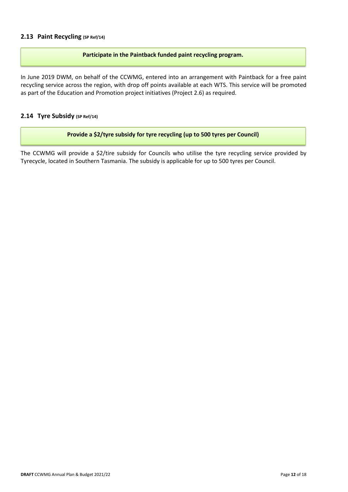#### **2.13 Paint Recycling (SP Ref/14)**

#### **Participate in the Paintback funded paint recycling program.**

In June 2019 DWM, on behalf of the CCWMG, entered into an arrangement with Paintback for a free paint recycling service across the region, with drop off points available at each WTS. This service will be promoted as part of the Education and Promotion project initiatives (Project 2.6) as required.

#### **2.14 Tyre Subsidy (SP Ref/14)**

#### **Provide a \$2/tyre subsidy for tyre recycling (up to 500 tyres per Council)**

The CCWMG will provide a \$2/tire subsidy for Councils who utilise the tyre recycling service provided by Tyrecycle, located in Southern Tasmania. The subsidy is applicable for up to 500 tyres per Council.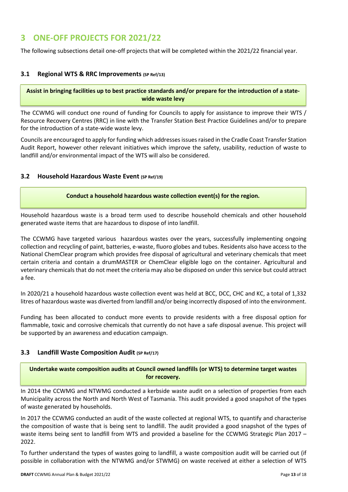## **3 ONE-OFF PROJECTS FOR 2021/22**

The following subsections detail one-off projects that will be completed within the 2021/22 financial year.

#### **3.1 Regional WTS & RRC Improvements (SP Ref/13)**

**Assist in bringing facilities up to best practice standards and/or prepare for the introduction of a statewide waste levy** 

The CCWMG will conduct one round of funding for Councils to apply for assistance to improve their WTS / Resource Recovery Centres (RRC) in line with the Transfer Station Best Practice Guidelines and/or to prepare for the introduction of a state-wide waste levy.

Councils are encouraged to apply for funding which addresses issues raised in the Cradle Coast Transfer Station Audit Report, however other relevant initiatives which improve the safety, usability, reduction of waste to landfill and/or environmental impact of the WTS will also be considered.

#### **3.2 Household Hazardous Waste Event (SP Ref/19)**

#### **Conduct a household hazardous waste collection event(s) for the region.**

Household hazardous waste is a broad term used to describe household chemicals and other household generated waste items that are hazardous to dispose of into landfill.

The CCWMG have targeted various hazardous wastes over the years, successfully implementing ongoing collection and recycling of paint, batteries, e-waste, fluoro globes and tubes. Residents also have access to the National ChemClear program which provides free disposal of agricultural and veterinary chemicals that meet certain criteria and contain a drumMASTER or ChemClear eligible logo on the container. Agricultural and veterinary chemicals that do not meet the criteria may also be disposed on under this service but could attract a fee.

In 2020/21 a household hazardous waste collection event was held at BCC, DCC, CHC and KC, a total of 1,332 litres of hazardous waste was diverted from landfill and/or being incorrectly disposed of into the environment.

Funding has been allocated to conduct more events to provide residents with a free disposal option for flammable, toxic and corrosive chemicals that currently do not have a safe disposal avenue. This project will be supported by an awareness and education campaign.

#### **3.3 Landfill Waste Composition Audit (SP Ref/17)**

**Undertake waste composition audits at Council owned landfills (or WTS) to determine target wastes for recovery.** 

In 2014 the CCWMG and NTWMG conducted a kerbside waste audit on a selection of properties from each Municipality across the North and North West of Tasmania. This audit provided a good snapshot of the types of waste generated by households.

In 2017 the CCWMG conducted an audit of the waste collected at regional WTS, to quantify and characterise the composition of waste that is being sent to landfill. The audit provided a good snapshot of the types of waste items being sent to landfill from WTS and provided a baseline for the CCWMG Strategic Plan 2017 -2022.

To further understand the types of wastes going to landfill, a waste composition audit will be carried out (if possible in collaboration with the NTWMG and/or STWMG) on waste received at either a selection of WTS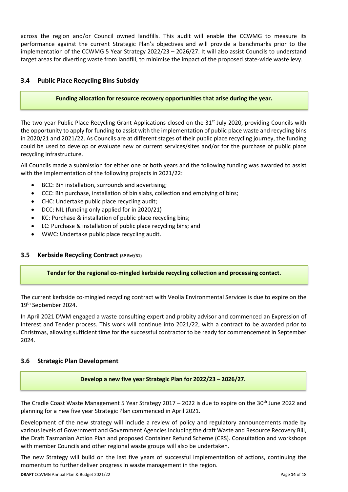across the region and/or Council owned landfills. This audit will enable the CCWMG to measure its performance against the current Strategic Plan's objectives and will provide a benchmarks prior to the implementation of the CCWMG 5 Year Strategy 2022/23 – 2026/27. It will also assist Councils to understand target areas for diverting waste from landfill, to minimise the impact of the proposed state-wide waste levy.

#### **3.4 Public Place Recycling Bins Subsidy**

#### **Funding allocation for resource recovery opportunities that arise during the year.**

The two year Public Place Recycling Grant Applications closed on the 31<sup>st</sup> July 2020, providing Councils with the opportunity to apply for funding to assist with the implementation of public place waste and recycling bins in 2020/21 and 2021/22. As Councils are at different stages of their public place recycling journey, the funding could be used to develop or evaluate new or current services/sites and/or for the purchase of public place recycling infrastructure.

All Councils made a submission for either one or both years and the following funding was awarded to assist with the implementation of the following projects in 2021/22:

- BCC: Bin installation, surrounds and advertising;
- CCC: Bin purchase, installation of bin slabs, collection and emptying of bins;
- CHC: Undertake public place recycling audit;
- DCC: NIL (funding only applied for in 2020/21)
- KC: Purchase & installation of public place recycling bins;
- LC: Purchase & installation of public place recycling bins; and
- WWC: Undertake public place recycling audit.

#### **3.5 Kerbside Recycling Contract (SP Ref/31)**

#### **Tender for the regional co-mingled kerbside recycling collection and processing contact.**

The current kerbside co-mingled recycling contract with Veolia Environmental Services is due to expire on the 19th September 2024.

In April 2021 DWM engaged a waste consulting expert and probity advisor and commenced an Expression of Interest and Tender process. This work will continue into 2021/22, with a contract to be awarded prior to Christmas, allowing sufficient time for the successful contractor to be ready for commencement in September 2024.

#### **3.6 Strategic Plan Development**

**Develop a new five year Strategic Plan for 2022/23 – 2026/27.** 

The Cradle Coast Waste Management 5 Year Strategy 2017 – 2022 is due to expire on the 30th June 2022 and planning for a new five year Strategic Plan commenced in April 2021.

Development of the new strategy will include a review of policy and regulatory announcements made by various levels of Government and Government Agencies including the draft Waste and Resource Recovery Bill, the Draft Tasmanian Action Plan and proposed Container Refund Scheme (CRS). Consultation and workshops with member Councils and other regional waste groups will also be undertaken.

The new Strategy will build on the last five years of successful implementation of actions, continuing the momentum to further deliver progress in waste management in the region.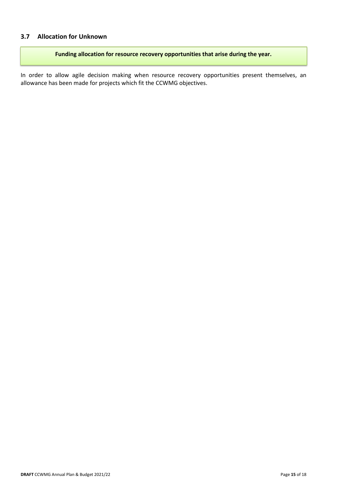#### **3.7 Allocation for Unknown**

**Funding allocation for resource recovery opportunities that arise during the year.** 

In order to allow agile decision making when resource recovery opportunities present themselves, an allowance has been made for projects which fit the CCWMG objectives.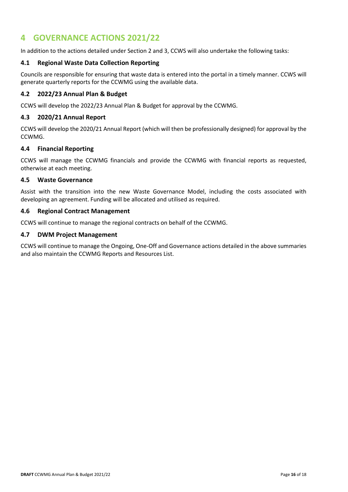## **4 GOVERNANCE ACTIONS 2021/22**

In addition to the actions detailed under Section 2 and 3, CCWS will also undertake the following tasks:

#### **4.1 Regional Waste Data Collection Reporting**

Councils are responsible for ensuring that waste data is entered into the portal in a timely manner. CCWS will generate quarterly reports for the CCWMG using the available data.

#### **4.2 2022/23 Annual Plan & Budget**

CCWS will develop the 2022/23 Annual Plan & Budget for approval by the CCWMG.

#### **4.3 2020/21 Annual Report**

CCWS will develop the 2020/21 Annual Report (which will then be professionally designed) for approval by the CCWMG.

#### **4.4 Financial Reporting**

CCWS will manage the CCWMG financials and provide the CCWMG with financial reports as requested, otherwise at each meeting.

#### **4.5 Waste Governance**

Assist with the transition into the new Waste Governance Model, including the costs associated with developing an agreement. Funding will be allocated and utilised as required.

#### **4.6 Regional Contract Management**

CCWS will continue to manage the regional contracts on behalf of the CCWMG.

#### **4.7 DWM Project Management**

CCWS will continue to manage the Ongoing, One-Off and Governance actions detailed in the above summaries and also maintain the CCWMG Reports and Resources List.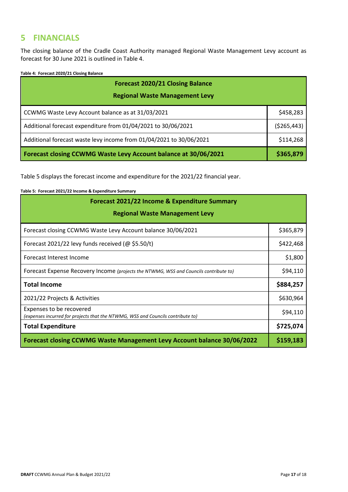### **5 FINANCIALS**

The closing balance of the Cradle Coast Authority managed Regional Waste Management Levy account as forecast for 30 June 2021 is outlined in Table 4.

**Table 4: Forecast 2020/21 Closing Balance** 

| <b>Forecast 2020/21 Closing Balance</b>                             |           |  |  |
|---------------------------------------------------------------------|-----------|--|--|
| <b>Regional Waste Management Levy</b>                               |           |  |  |
| CCWMG Waste Levy Account balance as at 31/03/2021                   | \$458,283 |  |  |
| Additional forecast expenditure from 01/04/2021 to 30/06/2021       |           |  |  |
| Additional forecast waste levy income from 01/04/2021 to 30/06/2021 |           |  |  |
| Forecast closing CCWMG Waste Levy Account balance at 30/06/2021     | \$365,879 |  |  |

Table 5 displays the forecast income and expenditure for the 2021/22 financial year.

**Table 5: Forecast 2021/22 Income & Expenditure Summary** 

| Forecast 2021/22 Income & Expenditure Summary                                                               |           |  |  |  |  |
|-------------------------------------------------------------------------------------------------------------|-----------|--|--|--|--|
| <b>Regional Waste Management Levy</b>                                                                       |           |  |  |  |  |
| Forecast closing CCWMG Waste Levy Account balance 30/06/2021                                                | \$365,879 |  |  |  |  |
| Forecast 2021/22 levy funds received ( $\omega$ \$5.50/t)                                                   | \$422,468 |  |  |  |  |
| Forecast Interest Income                                                                                    |           |  |  |  |  |
| Forecast Expense Recovery Income (projects the NTWMG, WSS and Councils contribute to)                       |           |  |  |  |  |
| <b>Total Income</b>                                                                                         | \$884,257 |  |  |  |  |
| 2021/22 Projects & Activities                                                                               | \$630,964 |  |  |  |  |
| Expenses to be recovered<br>(expenses incurred for projects that the NTWMG, WSS and Councils contribute to) |           |  |  |  |  |
| <b>Total Expenditure</b>                                                                                    |           |  |  |  |  |
| Forecast closing CCWMG Waste Management Levy Account balance 30/06/2022                                     |           |  |  |  |  |